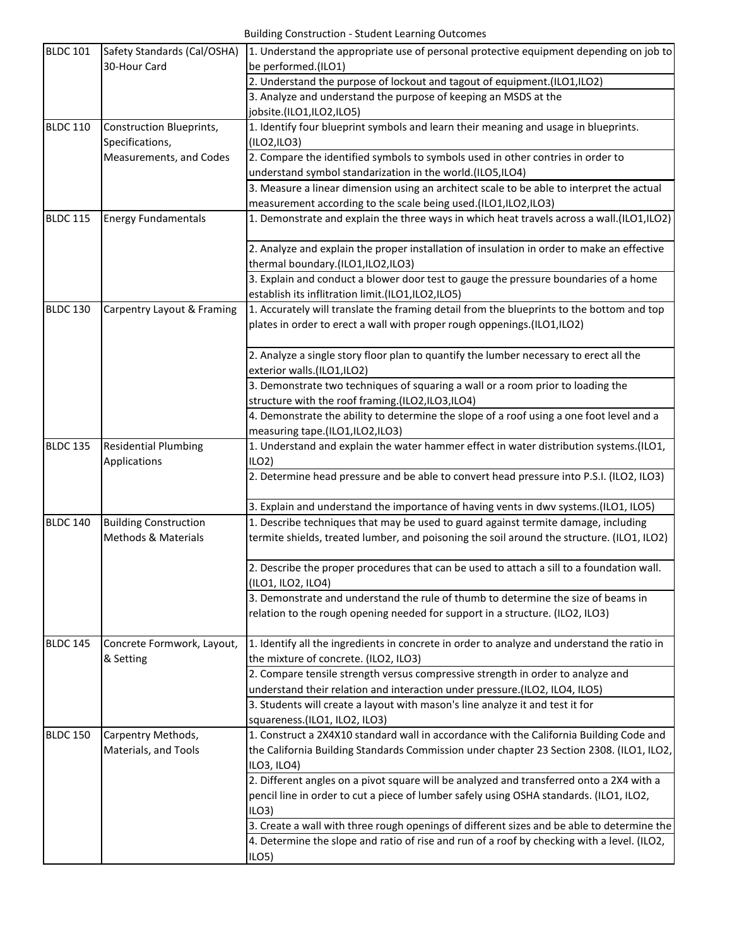| <b>BLDC 101</b> | Safety Standards (Cal/OSHA)     | 1. Understand the appropriate use of personal protective equipment depending on job to                               |
|-----------------|---------------------------------|----------------------------------------------------------------------------------------------------------------------|
|                 | 30-Hour Card                    | be performed.(ILO1)                                                                                                  |
|                 |                                 | 2. Understand the purpose of lockout and tagout of equipment.(ILO1,ILO2)                                             |
|                 |                                 | 3. Analyze and understand the purpose of keeping an MSDS at the                                                      |
|                 |                                 | jobsite.(ILO1,ILO2,ILO5)                                                                                             |
| <b>BLDC 110</b> | <b>Construction Blueprints,</b> | 1. Identify four blueprint symbols and learn their meaning and usage in blueprints.                                  |
|                 | Specifications,                 | (IO2, ILO3)                                                                                                          |
|                 | Measurements, and Codes         | 2. Compare the identified symbols to symbols used in other contries in order to                                      |
|                 |                                 | understand symbol standarization in the world.(ILO5,ILO4)                                                            |
|                 |                                 | 3. Measure a linear dimension using an architect scale to be able to interpret the actual                            |
|                 |                                 | measurement according to the scale being used.(ILO1,ILO2,ILO3)                                                       |
| <b>BLDC 115</b> | <b>Energy Fundamentals</b>      | 1. Demonstrate and explain the three ways in which heat travels across a wall.(ILO1,ILO2)                            |
|                 |                                 | 2. Analyze and explain the proper installation of insulation in order to make an effective                           |
|                 |                                 | thermal boundary.(ILO1,ILO2,ILO3)                                                                                    |
|                 |                                 | 3. Explain and conduct a blower door test to gauge the pressure boundaries of a home                                 |
|                 |                                 | establish its inflitration limit.(ILO1,ILO2,ILO5)                                                                    |
| <b>BLDC 130</b> | Carpentry Layout & Framing      | 1. Accurately will translate the framing detail from the blueprints to the bottom and top                            |
|                 |                                 | plates in order to erect a wall with proper rough oppenings.(ILO1,ILO2)                                              |
|                 |                                 | 2. Analyze a single story floor plan to quantify the lumber necessary to erect all the<br>exterior walls.(ILO1,ILO2) |
|                 |                                 | 3. Demonstrate two techniques of squaring a wall or a room prior to loading the                                      |
|                 |                                 | structure with the roof framing.(ILO2,ILO3,ILO4)                                                                     |
|                 |                                 | 4. Demonstrate the ability to determine the slope of a roof using a one foot level and a                             |
|                 |                                 | measuring tape.(ILO1,ILO2,ILO3)                                                                                      |
| <b>BLDC 135</b> | <b>Residential Plumbing</b>     | 1. Understand and explain the water hammer effect in water distribution systems.(ILO1,                               |
|                 | Applications                    | $ILO2$ )                                                                                                             |
|                 |                                 | 2. Determine head pressure and be able to convert head pressure into P.S.I. (ILO2, ILO3)                             |
|                 |                                 |                                                                                                                      |
|                 |                                 | 3. Explain and understand the importance of having vents in dwv systems.(ILO1, ILO5)                                 |
| <b>BLDC 140</b> | <b>Building Construction</b>    | 1. Describe techniques that may be used to guard against termite damage, including                                   |
|                 | <b>Methods &amp; Materials</b>  | termite shields, treated lumber, and poisoning the soil around the structure. (ILO1, ILO2)                           |
|                 |                                 | 2. Describe the proper procedures that can be used to attach a sill to a foundation wall.<br>(ILO1, ILO2, ILO4)      |
|                 |                                 | 3. Demonstrate and understand the rule of thumb to determine the size of beams in                                    |
|                 |                                 | relation to the rough opening needed for support in a structure. (ILO2, ILO3)                                        |
| <b>BLDC 145</b> | Concrete Formwork, Layout,      | 1. Identify all the ingredients in concrete in order to analyze and understand the ratio in                          |
|                 | & Setting                       | the mixture of concrete. (ILO2, ILO3)                                                                                |
|                 |                                 | 2. Compare tensile strength versus compressive strength in order to analyze and                                      |
|                 |                                 | understand their relation and interaction under pressure.(ILO2, ILO4, ILO5)                                          |
|                 |                                 | 3. Students will create a layout with mason's line analyze it and test it for                                        |
|                 |                                 | squareness.(ILO1, ILO2, ILO3)                                                                                        |
| <b>BLDC 150</b> | Carpentry Methods,              | 1. Construct a 2X4X10 standard wall in accordance with the California Building Code and                              |
|                 | Materials, and Tools            | the California Building Standards Commission under chapter 23 Section 2308. (ILO1, ILO2,<br>ILO3, ILO4)              |
|                 |                                 | 2. Different angles on a pivot square will be analyzed and transferred onto a 2X4 with a                             |
|                 |                                 | pencil line in order to cut a piece of lumber safely using OSHA standards. (ILO1, ILO2,                              |
|                 |                                 | ILO3                                                                                                                 |
|                 |                                 | 3. Create a wall with three rough openings of different sizes and be able to determine the                           |
|                 |                                 | 4. Determine the slope and ratio of rise and run of a roof by checking with a level. (ILO2,                          |
|                 |                                 | ILO <sub>5</sub>                                                                                                     |